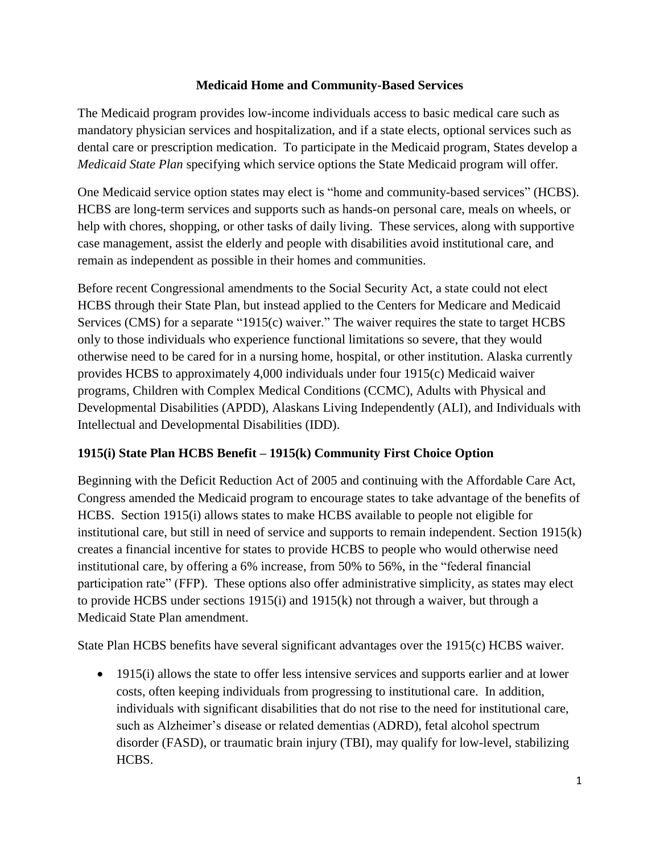## **Medicaid Home and Community-Based Services**

The Medicaid program provides low-income individuals access to basic medical care such as mandatory physician services and hospitalization, and if a state elects, optional services such as dental care or prescription medication. To participate in the Medicaid program, States develop a *Medicaid State Plan* specifying which service options the State Medicaid program will offer.

One Medicaid service option states may elect is "home and community-based services" (HCBS). HCBS are long-term services and supports such as hands-on personal care, meals on wheels, or help with chores, shopping, or other tasks of daily living. These services, along with supportive case management, assist the elderly and people with disabilities avoid institutional care, and remain as independent as possible in their homes and communities.

Before recent Congressional amendments to the Social Security Act, a state could not elect HCBS through their State Plan, but instead applied to the Centers for Medicare and Medicaid Services (CMS) for a separate "1915(c) waiver." The waiver requires the state to target HCBS only to those individuals who experience functional limitations so severe, that they would otherwise need to be cared for in a nursing home, hospital, or other institution. Alaska currently provides HCBS to approximately 4,000 individuals under four 1915(c) Medicaid waiver programs, Children with Complex Medical Conditions (CCMC), Adults with Physical and Developmental Disabilities (APDD), Alaskans Living Independently (ALI), and Individuals with Intellectual and Developmental Disabilities (IDD).

## **1915(i) State Plan HCBS Benefit – 1915(k) Community First Choice Option**

Beginning with the Deficit Reduction Act of 2005 and continuing with the Affordable Care Act, Congress amended the Medicaid program to encourage states to take advantage of the benefits of HCBS. Section 1915(i) allows states to make HCBS available to people not eligible for institutional care, but still in need of service and supports to remain independent. Section 1915(k) creates a financial incentive for states to provide HCBS to people who would otherwise need institutional care, by offering a 6% increase, from 50% to 56%, in the "federal financial participation rate" (FFP). These options also offer administrative simplicity, as states may elect to provide HCBS under sections 1915(i) and 1915(k) not through a waiver, but through a Medicaid State Plan amendment.

State Plan HCBS benefits have several significant advantages over the 1915(c) HCBS waiver.

• 1915(i) allows the state to offer less intensive services and supports earlier and at lower costs, often keeping individuals from progressing to institutional care. In addition, individuals with significant disabilities that do not rise to the need for institutional care, such as Alzheimer's disease or related dementias (ADRD), fetal alcohol spectrum disorder (FASD), or traumatic brain injury (TBI), may qualify for low-level, stabilizing HCBS.